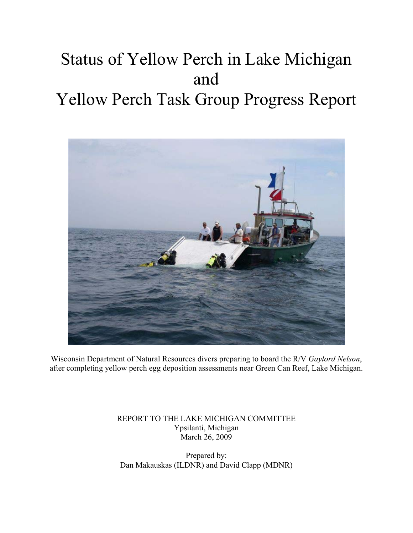# Status of Yellow Perch in Lake Michigan and Yellow Perch Task Group Progress Report



Wisconsin Department of Natural Resources divers preparing to board the R/V *Gaylord Nelson*, after completing yellow perch egg deposition assessments near Green Can Reef, Lake Michigan.

> REPORT TO THE LAKE MICHIGAN COMMITTEE Ypsilanti, Michigan March 26, 2009

Prepared by: Dan Makauskas (ILDNR) and David Clapp (MDNR)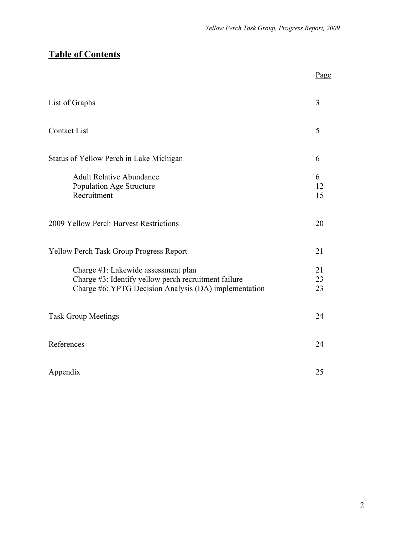# **Table of Contents**

|                                                                                                                                                      | Page           |
|------------------------------------------------------------------------------------------------------------------------------------------------------|----------------|
| List of Graphs                                                                                                                                       | 3              |
| <b>Contact List</b>                                                                                                                                  | 5              |
| Status of Yellow Perch in Lake Michigan                                                                                                              | 6              |
| <b>Adult Relative Abundance</b><br>Population Age Structure<br>Recruitment                                                                           | 6<br>12<br>15  |
| 2009 Yellow Perch Harvest Restrictions                                                                                                               | 20             |
| <b>Yellow Perch Task Group Progress Report</b>                                                                                                       | 21             |
| Charge #1: Lakewide assessment plan<br>Charge #3: Identify yellow perch recruitment failure<br>Charge #6: YPTG Decision Analysis (DA) implementation | 21<br>23<br>23 |
| <b>Task Group Meetings</b>                                                                                                                           | 24             |
| References                                                                                                                                           | 24             |
| Appendix                                                                                                                                             | 25             |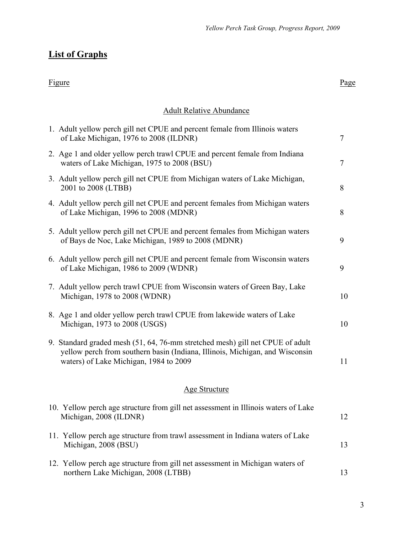# **List of Graphs**

#### Figure Page

#### Adult Relative Abundance

| 1. Adult yellow perch gill net CPUE and percent female from Illinois waters<br>of Lake Michigan, 1976 to 2008 (ILDNR)                                                                                   | $\tau$ |
|---------------------------------------------------------------------------------------------------------------------------------------------------------------------------------------------------------|--------|
| 2. Age 1 and older yellow perch trawl CPUE and percent female from Indiana<br>waters of Lake Michigan, 1975 to 2008 (BSU)                                                                               | 7      |
| 3. Adult yellow perch gill net CPUE from Michigan waters of Lake Michigan,<br>2001 to 2008 (LTBB)                                                                                                       | 8      |
| 4. Adult yellow perch gill net CPUE and percent females from Michigan waters<br>of Lake Michigan, 1996 to 2008 (MDNR)                                                                                   | 8      |
| 5. Adult yellow perch gill net CPUE and percent females from Michigan waters<br>of Bays de Noc, Lake Michigan, 1989 to 2008 (MDNR)                                                                      | 9      |
| 6. Adult yellow perch gill net CPUE and percent female from Wisconsin waters<br>of Lake Michigan, 1986 to 2009 (WDNR)                                                                                   | 9      |
| 7. Adult yellow perch trawl CPUE from Wisconsin waters of Green Bay, Lake<br>Michigan, 1978 to 2008 (WDNR)                                                                                              | 10     |
| 8. Age 1 and older yellow perch trawl CPUE from lakewide waters of Lake<br>Michigan, 1973 to 2008 (USGS)                                                                                                | 10     |
| 9. Standard graded mesh (51, 64, 76-mm stretched mesh) gill net CPUE of adult<br>yellow perch from southern basin (Indiana, Illinois, Michigan, and Wisconsin<br>waters) of Lake Michigan, 1984 to 2009 | 11     |
| <b>Age Structure</b>                                                                                                                                                                                    |        |
| 10. Yellow perch age structure from gill net assessment in Illinois waters of Lake<br>Michigan, 2008 (ILDNR)                                                                                            | 12     |
| 11. Yellow perch age structure from trawl assessment in Indiana waters of Lake<br>Michigan, 2008 (BSU)                                                                                                  | 13     |
| 12. Yellow perch age structure from gill net assessment in Michigan waters of<br>northern Lake Michigan, 2008 (LTBB)                                                                                    | 13     |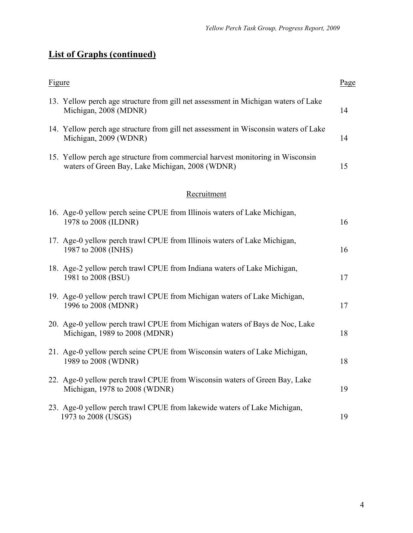# **List of Graphs (continued)**

| <b>Figure</b> |                                                                                                                                   | Page |
|---------------|-----------------------------------------------------------------------------------------------------------------------------------|------|
|               | 13. Yellow perch age structure from gill net assessment in Michigan waters of Lake<br>Michigan, 2008 (MDNR)                       | 14   |
|               | 14. Yellow perch age structure from gill net assessment in Wisconsin waters of Lake<br>Michigan, 2009 (WDNR)                      | 14   |
|               | 15. Yellow perch age structure from commercial harvest monitoring in Wisconsin<br>waters of Green Bay, Lake Michigan, 2008 (WDNR) | 15   |
|               | Recruitment                                                                                                                       |      |
|               | 16. Age-0 yellow perch seine CPUE from Illinois waters of Lake Michigan,<br>1978 to 2008 (ILDNR)                                  | 16   |
|               | 17. Age-0 yellow perch trawl CPUE from Illinois waters of Lake Michigan,<br>1987 to 2008 (INHS)                                   | 16   |
|               | 18. Age-2 yellow perch trawl CPUE from Indiana waters of Lake Michigan,<br>1981 to 2008 (BSU)                                     | 17   |
|               | 19. Age-0 yellow perch trawl CPUE from Michigan waters of Lake Michigan,<br>1996 to 2008 (MDNR)                                   | 17   |
|               | 20. Age-0 yellow perch trawl CPUE from Michigan waters of Bays de Noc, Lake<br>Michigan, 1989 to 2008 (MDNR)                      | 18   |
|               | 21. Age-0 yellow perch seine CPUE from Wisconsin waters of Lake Michigan,<br>1989 to 2008 (WDNR)                                  | 18   |
|               | 22. Age-0 yellow perch trawl CPUE from Wisconsin waters of Green Bay, Lake<br>Michigan, 1978 to 2008 (WDNR)                       | 19   |
|               | 23. Age-0 yellow perch trawl CPUE from lakewide waters of Lake Michigan,<br>1973 to 2008 (USGS)                                   | 19   |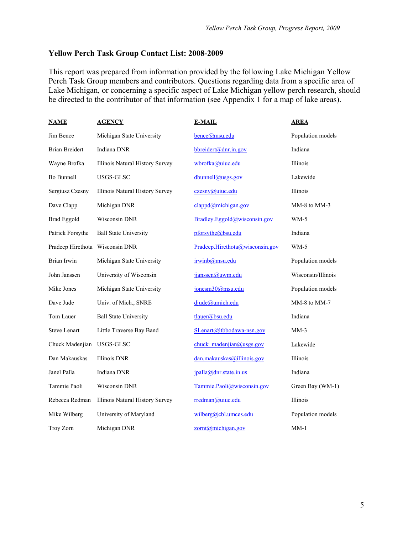#### **Yellow Perch Task Group Contact List: 2008-2009**

This report was prepared from information provided by the following Lake Michigan Yellow Perch Task Group members and contributors. Questions regarding data from a specific area of Lake Michigan, or concerning a specific aspect of Lake Michigan yellow perch research, should be directed to the contributor of that information (see Appendix 1 for a map of lake areas).

| <b>NAME</b>               | <u>AGENCY</u>                   | <b>E-MAIL</b>                   | <b>AREA</b>        |
|---------------------------|---------------------------------|---------------------------------|--------------------|
| Jim Bence                 | Michigan State University       | bence@msu.edu                   | Population models  |
| <b>Brian Breidert</b>     | Indiana DNR                     | bbreidert@dnr.in.gov            | Indiana            |
| Wayne Brofka              | Illinois Natural History Survey | wbrofka@uiuc.edu                | Illinois           |
| Bo Bunnell                | USGS-GLSC                       | dbunnell@usgs.gov               | Lakewide           |
| Sergiusz Czesny           | Illinois Natural History Survey | czesny@uiuc.edu                 | Illinois           |
| Dave Clapp                | Michigan DNR                    | clappd@michigan.gov             | MM-8 to MM-3       |
| <b>Brad Eggold</b>        | Wisconsin DNR                   | Bradley.Eggold@wisconsin.gov    | $WM-5$             |
| Patrick Forsythe          | <b>Ball State University</b>    | pforsythe@bsu.edu               | Indiana            |
| Pradeep Hirethota         | Wisconsin DNR                   | Pradeep.Hirethota@wisconsin.gov | $WM-5$             |
| Brian Irwin               | Michigan State University       | irwinb@msu.edu                  | Population models  |
| John Janssen              | University of Wisconsin         | jjanssen@uwm.edu                | Wisconsin/Illinois |
| Mike Jones                | Michigan State University       | jonesm30@msu.edu                | Population models  |
| Dave Jude                 | Univ. of Mich., SNRE            | djude@umich.edu                 | MM-8 to MM-7       |
| Tom Lauer                 | <b>Ball State University</b>    | tlauer@bsu.edu                  | Indiana            |
| <b>Steve Lenart</b>       | Little Traverse Bay Band        | SLenart@ltbbodawa-nsn.gov       | $MM-3$             |
| Chuck Madenjian USGS-GLSC |                                 | chuck madenjian@usgs.gov        | Lakewide           |
| Dan Makauskas             | Illinois DNR                    | dan.makauskas@illinois.gov      | Illinois           |
| Janel Palla               | Indiana DNR                     | jpalla@dnr.state.in.us          | Indiana            |
| Tammie Paoli              | Wisconsin DNR                   | Tammie.Paoli@wisconsin.gov      | Green Bay (WM-1)   |
| Rebecca Redman            | Illinois Natural History Survey | rredman@uiuc.edu                | Illinois           |
| Mike Wilberg              | University of Maryland          | $wilberg@cbl.$ umces.edu        | Population models  |
| Troy Zorn                 | Michigan DNR                    | $zortha$ michigan.gov           | $MM-1$             |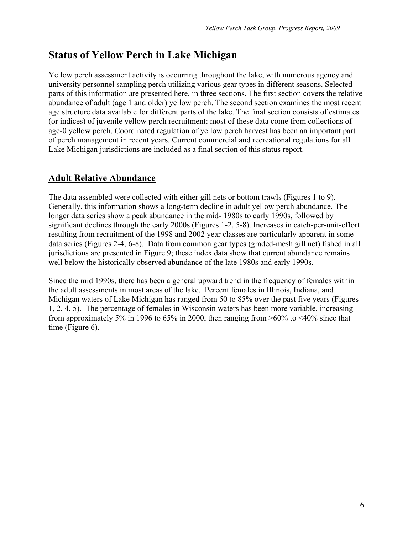# **Status of Yellow Perch in Lake Michigan**

Yellow perch assessment activity is occurring throughout the lake, with numerous agency and university personnel sampling perch utilizing various gear types in different seasons. Selected parts of this information are presented here, in three sections. The first section covers the relative abundance of adult (age 1 and older) yellow perch. The second section examines the most recent age structure data available for different parts of the lake. The final section consists of estimates (or indices) of juvenile yellow perch recruitment: most of these data come from collections of age-0 yellow perch. Coordinated regulation of yellow perch harvest has been an important part of perch management in recent years. Current commercial and recreational regulations for all Lake Michigan jurisdictions are included as a final section of this status report.

# **Adult Relative Abundance**

The data assembled were collected with either gill nets or bottom trawls (Figures 1 to 9). Generally, this information shows a long-term decline in adult yellow perch abundance. The longer data series show a peak abundance in the mid- 1980s to early 1990s, followed by significant declines through the early 2000s (Figures 1-2, 5-8). Increases in catch-per-unit-effort resulting from recruitment of the 1998 and 2002 year classes are particularly apparent in some data series (Figures 2-4, 6-8). Data from common gear types (graded-mesh gill net) fished in all jurisdictions are presented in Figure 9; these index data show that current abundance remains well below the historically observed abundance of the late 1980s and early 1990s.

Since the mid 1990s, there has been a general upward trend in the frequency of females within the adult assessments in most areas of the lake. Percent females in Illinois, Indiana, and Michigan waters of Lake Michigan has ranged from 50 to 85% over the past five years (Figures 1, 2, 4, 5). The percentage of females in Wisconsin waters has been more variable, increasing from approximately 5% in 1996 to 65% in 2000, then ranging from  $>60\%$  to  $<40\%$  since that time (Figure 6).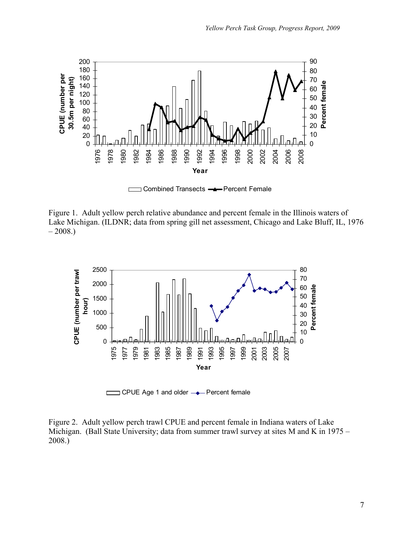

□ Combined Transects **-**Percent Female  $\Box$ 

Figure 1. Adult yellow perch relative abundance and percent female in the Illinois waters of Lake Michigan. (ILDNR; data from spring gill net assessment, Chicago and Lake Bluff, IL, 1976  $-2008.$ 



CPUE Age 1 and older  $\rightarrow$  Percent female

Figure 2. Adult yellow perch trawl CPUE and percent female in Indiana waters of Lake Michigan. (Ball State University; data from summer trawl survey at sites M and K in 1975 – 2008.)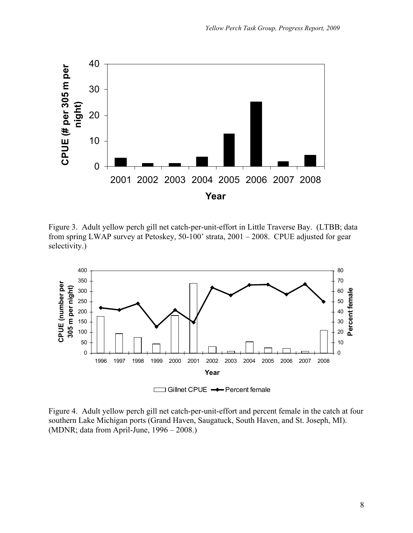

Figure 3. Adult yellow perch gill net catch-per-unit-effort in Little Traverse Bay. (LTBB; data from spring LWAP survey at Petoskey, 50-100' strata, 2001 – 2008. CPUE adjusted for gear selectivity.)



Figure 4. Adult yellow perch gill net catch-per-unit-effort and percent female in the catch at four southern Lake Michigan ports (Grand Haven, Saugatuck, South Haven, and St. Joseph, MI). (MDNR; data from April-June, 1996 – 2008.)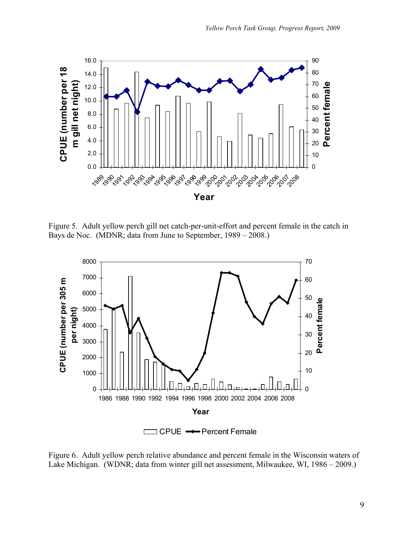

Figure 5. Adult yellow perch gill net catch-per-unit-effort and percent female in the catch in Bays de Noc. (MDNR; data from June to September, 1989 – 2008.)



Figure 6. Adult yellow perch relative abundance and percent female in the Wisconsin waters of Lake Michigan. (WDNR; data from winter gill net assessment, Milwaukee, WI, 1986 – 2009.)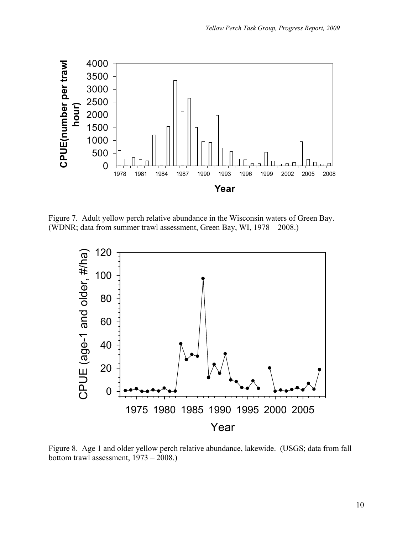

Figure 7. Adult yellow perch relative abundance in the Wisconsin waters of Green Bay. (WDNR; data from summer trawl assessment, Green Bay, WI, 1978 – 2008.)



Figure 8. Age 1 and older yellow perch relative abundance, lakewide. (USGS; data from fall bottom trawl assessment, 1973 – 2008.)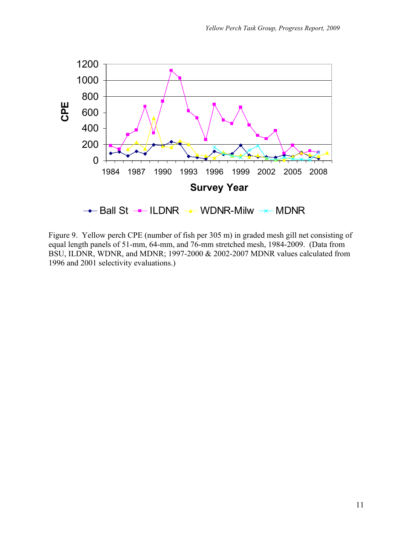

Figure 9. Yellow perch CPE (number of fish per 305 m) in graded mesh gill net consisting of equal length panels of 51-mm, 64-mm, and 76-mm stretched mesh, 1984-2009. (Data from BSU, ILDNR, WDNR, and MDNR; 1997-2000 & 2002-2007 MDNR values calculated from 1996 and 2001 selectivity evaluations.)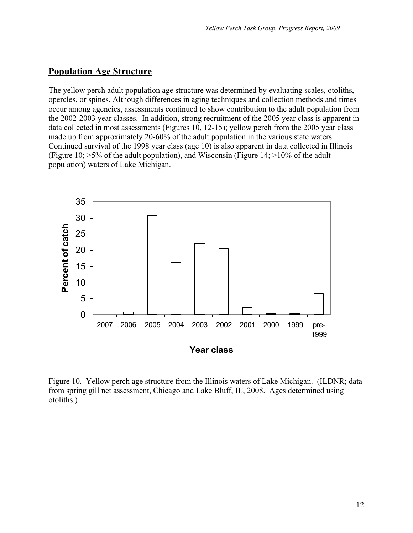#### **Population Age Structure**

The yellow perch adult population age structure was determined by evaluating scales, otoliths, opercles, or spines. Although differences in aging techniques and collection methods and times occur among agencies, assessments continued to show contribution to the adult population from the 2002-2003 year classes. In addition, strong recruitment of the 2005 year class is apparent in data collected in most assessments (Figures 10, 12-15); yellow perch from the 2005 year class made up from approximately 20-60% of the adult population in the various state waters. Continued survival of the 1998 year class (age 10) is also apparent in data collected in Illinois (Figure 10; >5% of the adult population), and Wisconsin (Figure 14; >10% of the adult population) waters of Lake Michigan.



Figure 10. Yellow perch age structure from the Illinois waters of Lake Michigan. (ILDNR; data from spring gill net assessment, Chicago and Lake Bluff, IL, 2008. Ages determined using otoliths.)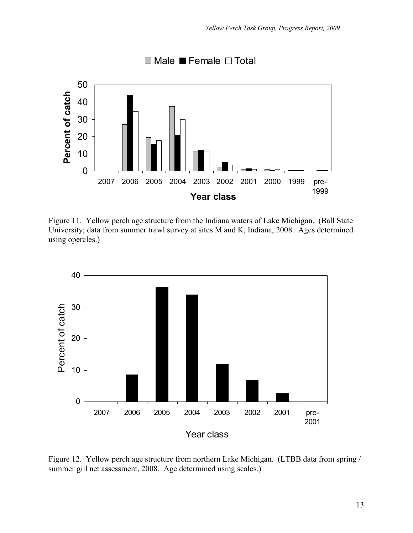

Figure 11. Yellow perch age structure from the Indiana waters of Lake Michigan. (Ball State University; data from summer trawl survey at sites M and K, Indiana, 2008. Ages determined using opercles.)



Figure 12. Yellow perch age structure from northern Lake Michigan. (LTBB data from spring / summer gill net assessment, 2008. Age determined using scales.)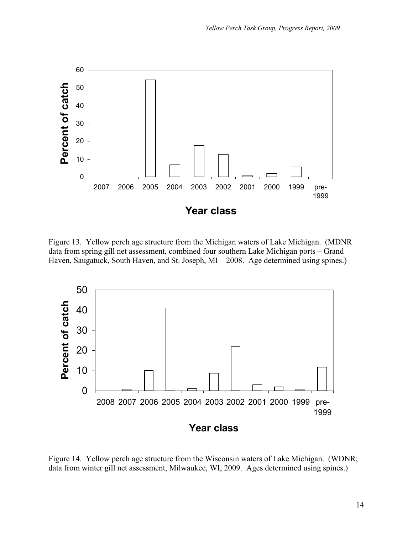

Figure 13. Yellow perch age structure from the Michigan waters of Lake Michigan. (MDNR data from spring gill net assessment, combined four southern Lake Michigan ports – Grand Haven, Saugatuck, South Haven, and St. Joseph, MI – 2008. Age determined using spines.)



Figure 14. Yellow perch age structure from the Wisconsin waters of Lake Michigan. (WDNR; data from winter gill net assessment, Milwaukee, WI, 2009. Ages determined using spines.)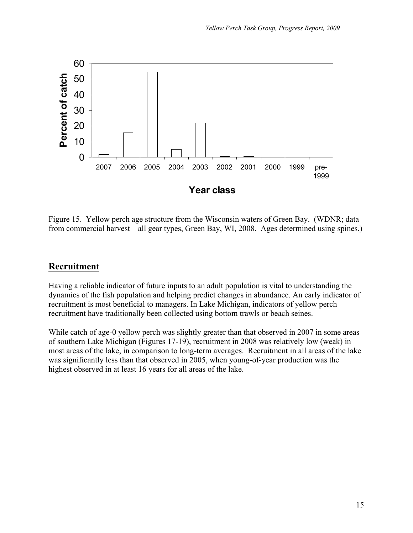

Figure 15. Yellow perch age structure from the Wisconsin waters of Green Bay. (WDNR; data from commercial harvest – all gear types, Green Bay, WI, 2008. Ages determined using spines.)

### **Recruitment**

Having a reliable indicator of future inputs to an adult population is vital to understanding the dynamics of the fish population and helping predict changes in abundance. An early indicator of recruitment is most beneficial to managers. In Lake Michigan, indicators of yellow perch recruitment have traditionally been collected using bottom trawls or beach seines.

While catch of age-0 yellow perch was slightly greater than that observed in 2007 in some areas of southern Lake Michigan (Figures 17-19), recruitment in 2008 was relatively low (weak) in most areas of the lake, in comparison to long-term averages. Recruitment in all areas of the lake was significantly less than that observed in 2005, when young-of-year production was the highest observed in at least 16 years for all areas of the lake.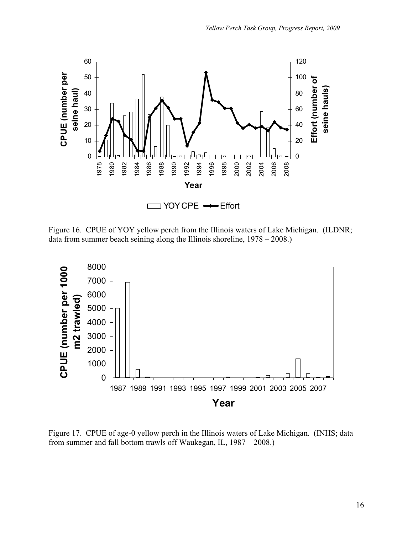

Figure 16. CPUE of YOY yellow perch from the Illinois waters of Lake Michigan. (ILDNR; data from summer beach seining along the Illinois shoreline, 1978 – 2008.)



Figure 17. CPUE of age-0 yellow perch in the Illinois waters of Lake Michigan. (INHS; data from summer and fall bottom trawls off Waukegan, IL, 1987 – 2008.)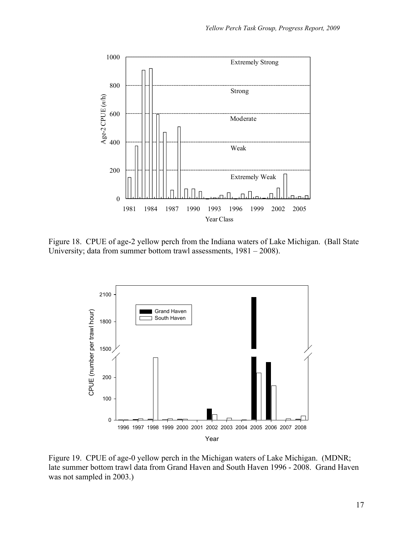

Figure 18. CPUE of age-2 yellow perch from the Indiana waters of Lake Michigan. (Ball State University; data from summer bottom trawl assessments, 1981 – 2008).



Figure 19. CPUE of age-0 yellow perch in the Michigan waters of Lake Michigan. (MDNR; late summer bottom trawl data from Grand Haven and South Haven 1996 - 2008. Grand Haven was not sampled in 2003.)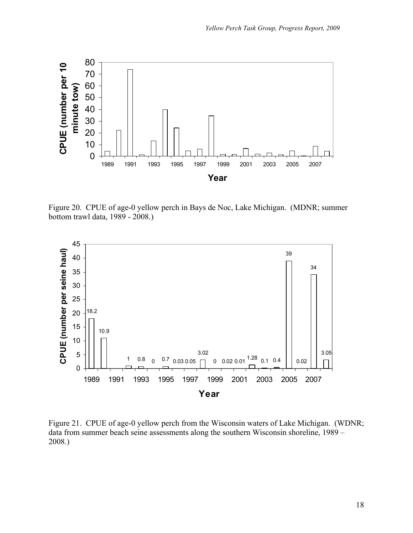

Figure 20. CPUE of age-0 yellow perch in Bays de Noc, Lake Michigan. (MDNR; summer bottom trawl data, 1989 - 2008.)



Figure 21. CPUE of age-0 yellow perch from the Wisconsin waters of Lake Michigan. (WDNR; data from summer beach seine assessments along the southern Wisconsin shoreline, 1989 – 2008.)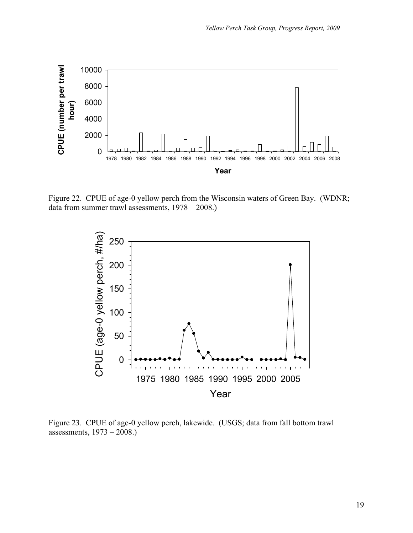

Figure 22. CPUE of age-0 yellow perch from the Wisconsin waters of Green Bay. (WDNR; data from summer trawl assessments, 1978 – 2008.)



Figure 23. CPUE of age-0 yellow perch, lakewide. (USGS; data from fall bottom trawl assessments, 1973 – 2008.)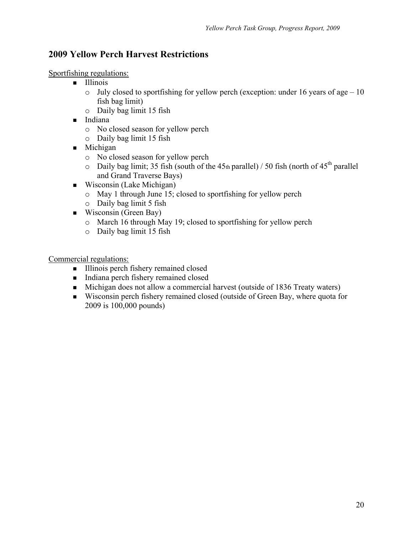# **2009 Yellow Perch Harvest Restrictions**

Sportfishing regulations:

- **Illinois** 
	- $\circ$  July closed to sportfishing for yellow perch (exception: under 16 years of age 10 fish bag limit)
	- o Daily bag limit 15 fish
- **Indiana** 
	- o No closed season for yellow perch
	- o Daily bag limit 15 fish
- $\blacksquare$  Michigan
	- o No closed season for yellow perch
	- $\circ$  Daily bag limit; 35 fish (south of the 45th parallel) / 50 fish (north of 45<sup>th</sup> parallel and Grand Traverse Bays)
- Wisconsin (Lake Michigan)
	- o May 1 through June 15; closed to sportfishing for yellow perch
	- o Daily bag limit 5 fish
- Wisconsin (Green Bay)
	- o March 16 through May 19; closed to sportfishing for yellow perch
	- o Daily bag limit 15 fish

Commercial regulations:

- Illinois perch fishery remained closed
- Indiana perch fishery remained closed
- Michigan does not allow a commercial harvest (outside of 1836 Treaty waters)
- Wisconsin perch fishery remained closed (outside of Green Bay, where quota for 2009 is 100,000 pounds)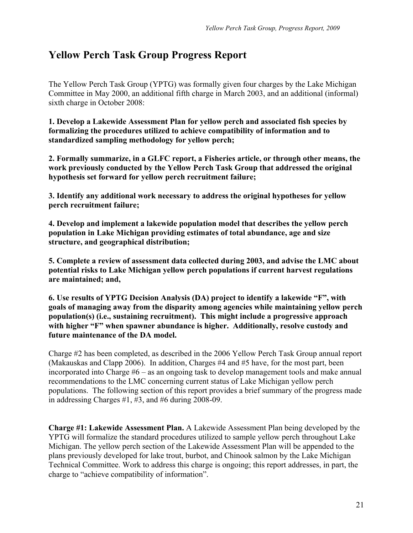# **Yellow Perch Task Group Progress Report**

The Yellow Perch Task Group (YPTG) was formally given four charges by the Lake Michigan Committee in May 2000, an additional fifth charge in March 2003, and an additional (informal) sixth charge in October 2008:

**1. Develop a Lakewide Assessment Plan for yellow perch and associated fish species by formalizing the procedures utilized to achieve compatibility of information and to standardized sampling methodology for yellow perch;** 

**2. Formally summarize, in a GLFC report, a Fisheries article, or through other means, the work previously conducted by the Yellow Perch Task Group that addressed the original hypothesis set forward for yellow perch recruitment failure;** 

**3. Identify any additional work necessary to address the original hypotheses for yellow perch recruitment failure;** 

**4. Develop and implement a lakewide population model that describes the yellow perch population in Lake Michigan providing estimates of total abundance, age and size structure, and geographical distribution;** 

**5. Complete a review of assessment data collected during 2003, and advise the LMC about potential risks to Lake Michigan yellow perch populations if current harvest regulations are maintained; and,** 

**6. Use results of YPTG Decision Analysis (DA) project to identify a lakewide "F", with goals of managing away from the disparity among agencies while maintaining yellow perch population(s) (i.e., sustaining recruitment). This might include a progressive approach with higher "F" when spawner abundance is higher. Additionally, resolve custody and future maintenance of the DA model.** 

Charge #2 has been completed, as described in the 2006 Yellow Perch Task Group annual report (Makauskas and Clapp 2006). In addition, Charges #4 and #5 have, for the most part, been incorporated into Charge #6 – as an ongoing task to develop management tools and make annual recommendations to the LMC concerning current status of Lake Michigan yellow perch populations. The following section of this report provides a brief summary of the progress made in addressing Charges #1, #3, and #6 during 2008-09.

**Charge #1: Lakewide Assessment Plan.** A Lakewide Assessment Plan being developed by the YPTG will formalize the standard procedures utilized to sample yellow perch throughout Lake Michigan. The yellow perch section of the Lakewide Assessment Plan will be appended to the plans previously developed for lake trout, burbot, and Chinook salmon by the Lake Michigan Technical Committee. Work to address this charge is ongoing; this report addresses, in part, the charge to "achieve compatibility of information".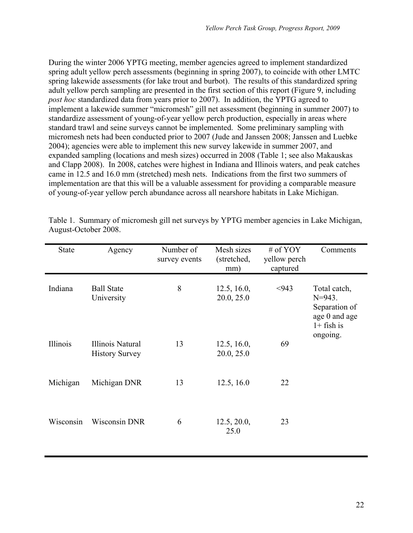During the winter 2006 YPTG meeting, member agencies agreed to implement standardized spring adult yellow perch assessments (beginning in spring 2007), to coincide with other LMTC spring lakewide assessments (for lake trout and burbot). The results of this standardized spring adult yellow perch sampling are presented in the first section of this report (Figure 9, including *post hoc* standardized data from years prior to 2007). In addition, the YPTG agreed to implement a lakewide summer "micromesh" gill net assessment (beginning in summer 2007) to standardize assessment of young-of-year yellow perch production, especially in areas where standard trawl and seine surveys cannot be implemented. Some preliminary sampling with micromesh nets had been conducted prior to 2007 (Jude and Janssen 2008; Janssen and Luebke 2004); agencies were able to implement this new survey lakewide in summer 2007, and expanded sampling (locations and mesh sizes) occurred in 2008 (Table 1; see also Makauskas and Clapp 2008). In 2008, catches were highest in Indiana and Illinois waters, and peak catches came in 12.5 and 16.0 mm (stretched) mesh nets. Indications from the first two summers of implementation are that this will be a valuable assessment for providing a comparable measure of young-of-year yellow perch abundance across all nearshore habitats in Lake Michigan.

| <b>State</b> | Agency                                    | Number of<br>survey events | Mesh sizes<br>(stretched,<br>mm) | # of $YOY$<br>yellow perch<br>captured | Comments                                                                      |
|--------------|-------------------------------------------|----------------------------|----------------------------------|----------------------------------------|-------------------------------------------------------------------------------|
| Indiana      | <b>Ball State</b><br>University           | 8                          | 12.5, 16.0,<br>20.0, 25.0        | < 943                                  | Total catch,<br>$N = 943$ .<br>Separation of<br>age 0 and age<br>$1+$ fish is |
| Illinois     | Illinois Natural<br><b>History Survey</b> | 13                         | 12.5, 16.0,<br>20.0, 25.0        | 69                                     | ongoing.                                                                      |
| Michigan     | Michigan DNR                              | 13                         | 12.5, 16.0                       | 22                                     |                                                                               |
| Wisconsin    | <b>Wisconsin DNR</b>                      | 6                          | 12.5, 20.0,<br>25.0              | 23                                     |                                                                               |

Table 1. Summary of micromesh gill net surveys by YPTG member agencies in Lake Michigan, August-October 2008.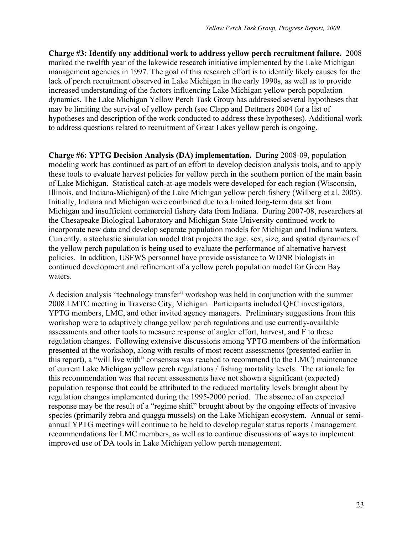**Charge #3: Identify any additional work to address yellow perch recruitment failure.** 2008 marked the twelfth year of the lakewide research initiative implemented by the Lake Michigan management agencies in 1997. The goal of this research effort is to identify likely causes for the lack of perch recruitment observed in Lake Michigan in the early 1990s, as well as to provide increased understanding of the factors influencing Lake Michigan yellow perch population dynamics. The Lake Michigan Yellow Perch Task Group has addressed several hypotheses that may be limiting the survival of yellow perch (see Clapp and Dettmers 2004 for a list of hypotheses and description of the work conducted to address these hypotheses). Additional work to address questions related to recruitment of Great Lakes yellow perch is ongoing.

**Charge #6: YPTG Decision Analysis (DA) implementation.** During 2008-09, population modeling work has continued as part of an effort to develop decision analysis tools, and to apply these tools to evaluate harvest policies for yellow perch in the southern portion of the main basin of Lake Michigan. Statistical catch-at-age models were developed for each region (Wisconsin, Illinois, and Indiana-Michigan) of the Lake Michigan yellow perch fishery (Wilberg et al. 2005). Initially, Indiana and Michigan were combined due to a limited long-term data set from Michigan and insufficient commercial fishery data from Indiana. During 2007-08, researchers at the Chesapeake Biological Laboratory and Michigan State University continued work to incorporate new data and develop separate population models for Michigan and Indiana waters. Currently, a stochastic simulation model that projects the age, sex, size, and spatial dynamics of the yellow perch population is being used to evaluate the performance of alternative harvest policies. In addition, USFWS personnel have provide assistance to WDNR biologists in continued development and refinement of a yellow perch population model for Green Bay waters.

A decision analysis "technology transfer" workshop was held in conjunction with the summer 2008 LMTC meeting in Traverse City, Michigan. Participants included QFC investigators, YPTG members, LMC, and other invited agency managers. Preliminary suggestions from this workshop were to adaptively change yellow perch regulations and use currently-available assessments and other tools to measure response of angler effort, harvest, and F to these regulation changes. Following extensive discussions among YPTG members of the information presented at the workshop, along with results of most recent assessments (presented earlier in this report), a "will live with" consensus was reached to recommend (to the LMC) maintenance of current Lake Michigan yellow perch regulations / fishing mortality levels. The rationale for this recommendation was that recent assessments have not shown a significant (expected) population response that could be attributed to the reduced mortality levels brought about by regulation changes implemented during the 1995-2000 period. The absence of an expected response may be the result of a "regime shift" brought about by the ongoing effects of invasive species (primarily zebra and quagga mussels) on the Lake Michigan ecosystem. Annual or semiannual YPTG meetings will continue to be held to develop regular status reports / management recommendations for LMC members, as well as to continue discussions of ways to implement improved use of DA tools in Lake Michigan yellow perch management.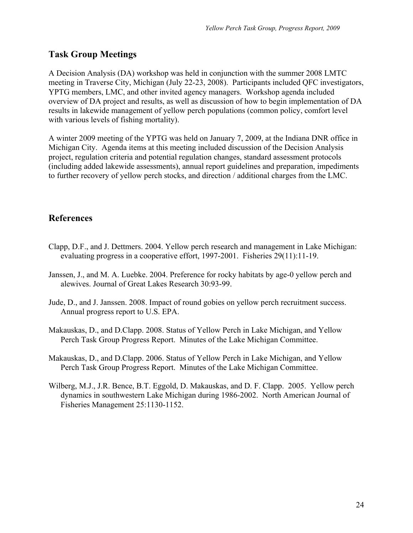# **Task Group Meetings**

A Decision Analysis (DA) workshop was held in conjunction with the summer 2008 LMTC meeting in Traverse City, Michigan (July 22-23, 2008). Participants included QFC investigators, YPTG members, LMC, and other invited agency managers. Workshop agenda included overview of DA project and results, as well as discussion of how to begin implementation of DA results in lakewide management of yellow perch populations (common policy, comfort level with various levels of fishing mortality).

A winter 2009 meeting of the YPTG was held on January 7, 2009, at the Indiana DNR office in Michigan City. Agenda items at this meeting included discussion of the Decision Analysis project, regulation criteria and potential regulation changes, standard assessment protocols (including added lakewide assessments), annual report guidelines and preparation, impediments to further recovery of yellow perch stocks, and direction / additional charges from the LMC.

# **References**

- Clapp, D.F., and J. Dettmers. 2004. Yellow perch research and management in Lake Michigan: evaluating progress in a cooperative effort, 1997-2001. Fisheries 29(11):11-19.
- Janssen, J., and M. A. Luebke. 2004. Preference for rocky habitats by age-0 yellow perch and alewives. Journal of Great Lakes Research 30:93-99.
- Jude, D., and J. Janssen. 2008. Impact of round gobies on yellow perch recruitment success. Annual progress report to U.S. EPA.
- Makauskas, D., and D.Clapp. 2008. Status of Yellow Perch in Lake Michigan, and Yellow Perch Task Group Progress Report. Minutes of the Lake Michigan Committee.
- Makauskas, D., and D.Clapp. 2006. Status of Yellow Perch in Lake Michigan, and Yellow Perch Task Group Progress Report. Minutes of the Lake Michigan Committee.
- Wilberg, M.J., J.R. Bence, B.T. Eggold, D. Makauskas, and D. F. Clapp. 2005. Yellow perch dynamics in southwestern Lake Michigan during 1986-2002. North American Journal of Fisheries Management 25:1130-1152.